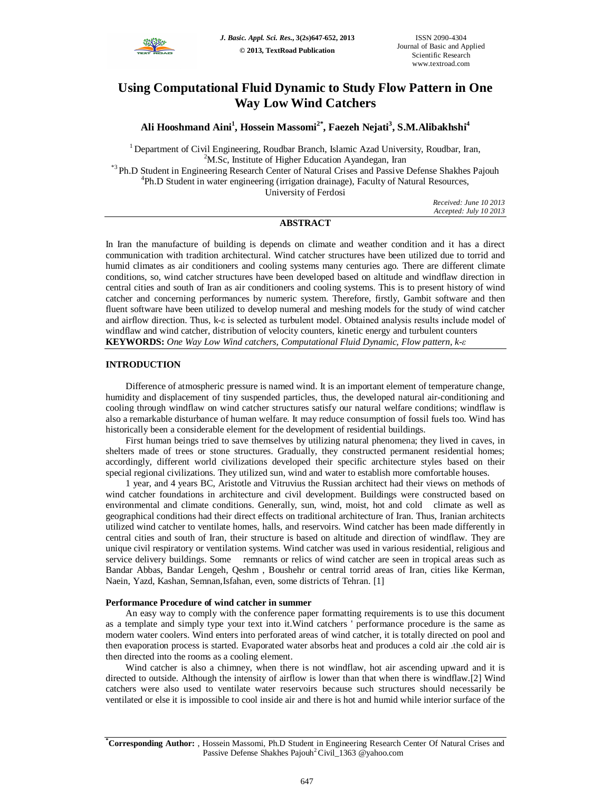

# **Using Computational Fluid Dynamic to Study Flow Pattern in One Way Low Wind Catchers**

**Ali Hooshmand Aini<sup>1</sup> , Hossein Massomi2\*, Faezeh Nejati<sup>3</sup> , S.M.Alibakhshi<sup>4</sup>**

<sup>1</sup> Department of Civil Engineering, Roudbar Branch, Islamic Azad University, Roudbar, Iran,  $2<sup>2</sup>M.Sc$ , Institute of Higher Education Ayandegan, Iran

\*3 Ph.D Student in Engineering Research Center of Natural Crises and Passive Defense Shakhes Pajouh <sup>4</sup>Ph.D Student in water engineering (irrigation drainage), Faculty of Natural Resources,

University of Ferdosi

*Received: June 10 2013 Accepted: July 10 2013*

# **ABSTRACT**

In Iran the manufacture of building is depends on climate and weather condition and it has a direct communication with tradition architectural. Wind catcher structures have been utilized due to torrid and humid climates as air conditioners and cooling systems many centuries ago. There are different climate conditions, so, wind catcher structures have been developed based on altitude and windflaw direction in central cities and south of Iran as air conditioners and cooling systems. This is to present history of wind catcher and concerning performances by numeric system. Therefore, firstly, Gambit software and then fluent software have been utilized to develop numeral and meshing models for the study of wind catcher and airflow direction. Thus, k-ε is selected as turbulent model. Obtained analysis results include model of windflaw and wind catcher, distribution of velocity counters, kinetic energy and turbulent counters **KEYWORDS:** *One Way Low Wind catchers, Computational Fluid Dynamic, Flow pattern, k-ε*

## **INTRODUCTION**

Difference of atmospheric pressure is named wind. It is an important element of temperature change, humidity and displacement of tiny suspended particles, thus, the developed natural air-conditioning and cooling through windflaw on wind catcher structures satisfy our natural welfare conditions; windflaw is also a remarkable disturbance of human welfare. It may reduce consumption of fossil fuels too. Wind has historically been a considerable element for the development of residential buildings.

First human beings tried to save themselves by utilizing natural phenomena; they lived in caves, in shelters made of trees or stone structures. Gradually, they constructed permanent residential homes; accordingly, different world civilizations developed their specific architecture styles based on their special regional civilizations. They utilized sun, wind and water to establish more comfortable houses.

1 year, and 4 years BC, Aristotle and Vitruvius the Russian architect had their views on methods of wind catcher foundations in architecture and civil development. Buildings were constructed based on environmental and climate conditions. Generally, sun, wind, moist, hot and cold climate as well as geographical conditions had their direct effects on traditional architecture of Iran. Thus, Iranian architects utilized wind catcher to ventilate homes, halls, and reservoirs. Wind catcher has been made differently in central cities and south of Iran, their structure is based on altitude and direction of windflaw. They are unique civil respiratory or ventilation systems. Wind catcher was used in various residential, religious and service delivery buildings. Some remnants or relics of wind catcher are seen in tropical areas such as Bandar Abbas, Bandar Lengeh, Qeshm , Boushehr or central torrid areas of Iran, cities like Kerman, Naein, Yazd, Kashan, Semnan,Isfahan, even, some districts of Tehran. [1]

## **Performance Procedure of wind catcher in summer**

An easy way to comply with the conference paper formatting requirements is to use this document as a template and simply type your text into it.Wind catchers ' performance procedure is the same as modern water coolers. Wind enters into perforated areas of wind catcher, it is totally directed on pool and then evaporation process is started. Evaporated water absorbs heat and produces a cold air .the cold air is then directed into the rooms as a cooling element.

Wind catcher is also a chimney, when there is not windflaw, hot air ascending upward and it is directed to outside. Although the intensity of airflow is lower than that when there is windflaw.[2] Wind catchers were also used to ventilate water reservoirs because such structures should necessarily be ventilated or else it is impossible to cool inside air and there is hot and humid while interior surface of the

**<sup>\*</sup>Corresponding Author:** , Hossein Massomi, Ph.D Student in Engineering Research Center Of Natural Crises and Passive Defense Shakhes Pajouh<sup>2</sup>Civil\_1363 @yahoo.com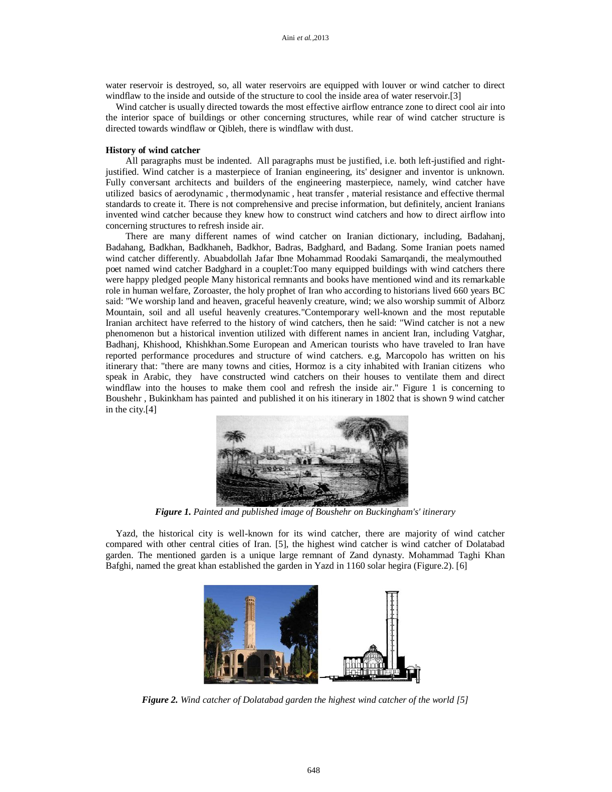water reservoir is destroyed, so, all water reservoirs are equipped with louver or wind catcher to direct windflaw to the inside and outside of the structure to cool the inside area of water reservoir.[3]

Wind catcher is usually directed towards the most effective airflow entrance zone to direct cool air into the interior space of buildings or other concerning structures, while rear of wind catcher structure is directed towards windflaw or Qibleh, there is windflaw with dust.

#### **History of wind catcher**

All paragraphs must be indented. All paragraphs must be justified, i.e. both left-justified and rightjustified. Wind catcher is a masterpiece of Iranian engineering, its' designer and inventor is unknown. Fully conversant architects and builders of the engineering masterpiece, namely, wind catcher have utilized basics of aerodynamic , thermodynamic , heat transfer , material resistance and effective thermal standards to create it. There is not comprehensive and precise information, but definitely, ancient Iranians invented wind catcher because they knew how to construct wind catchers and how to direct airflow into concerning structures to refresh inside air.

There are many different names of wind catcher on Iranian dictionary, including, Badahanj, Badahang, Badkhan, Badkhaneh, Badkhor, Badras, Badghard, and Badang. Some Iranian poets named wind catcher differently. Abuabdollah Jafar Ibne Mohammad Roodaki Samarqandi, the mealymouthed poet named wind catcher Badghard in a couplet:Too many equipped buildings with wind catchers there were happy pledged people Many historical remnants and books have mentioned wind and its remarkable role in human welfare, Zoroaster, the holy prophet of Iran who according to historians lived 660 years BC said: "We worship land and heaven, graceful heavenly creature, wind; we also worship summit of Alborz Mountain, soil and all useful heavenly creatures."Contemporary well-known and the most reputable Iranian architect have referred to the history of wind catchers, then he said: "Wind catcher is not a new phenomenon but a historical invention utilized with different names in ancient Iran, including Vatghar, Badhanj, Khishood, Khishkhan.Some European and American tourists who have traveled to Iran have reported performance procedures and structure of wind catchers. e.g, Marcopolo has written on his itinerary that: "there are many towns and cities, Hormoz is a city inhabited with Iranian citizens who speak in Arabic, they have constructed wind catchers on their houses to ventilate them and direct windflaw into the houses to make them cool and refresh the inside air." Figure 1 is concerning to Boushehr , Bukinkham has painted and published it on his itinerary in 1802 that is shown 9 wind catcher in the city.[4]



*Figure 1. Painted and published image of Boushehr on Buckingham's' itinerary*

Yazd, the historical city is well-known for its wind catcher, there are majority of wind catcher compared with other central cities of Iran. [5], the highest wind catcher is wind catcher of Dolatabad garden. The mentioned garden is a unique large remnant of Zand dynasty. Mohammad Taghi Khan Bafghi, named the great khan established the garden in Yazd in 1160 solar hegira (Figure.2). [6]



*Figure 2. Wind catcher of Dolatabad garden the highest wind catcher of the world [5]*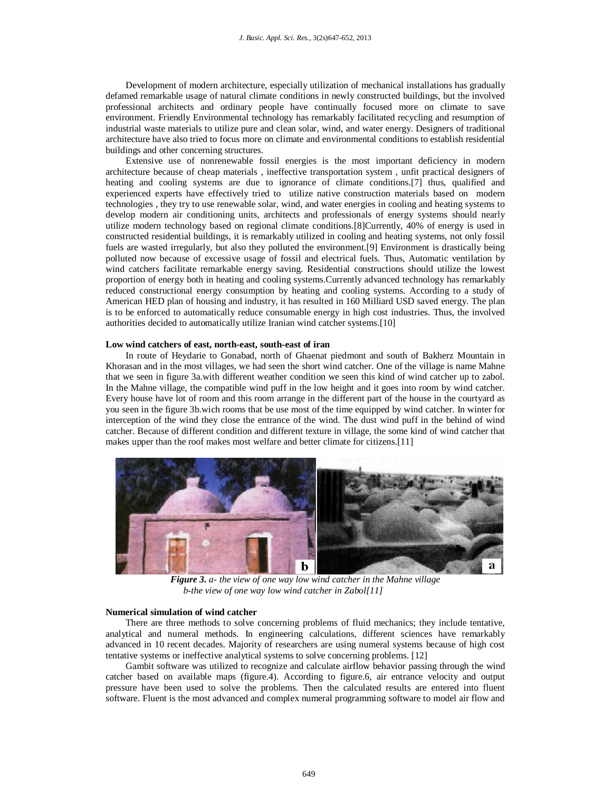Development of modern architecture, especially utilization of mechanical installations has gradually defamed remarkable usage of natural climate conditions in newly constructed buildings, but the involved professional architects and ordinary people have continually focused more on climate to save environment. Friendly Environmental technology has remarkably facilitated recycling and resumption of industrial waste materials to utilize pure and clean solar, wind, and water energy. Designers of traditional architecture have also tried to focus more on climate and environmental conditions to establish residential buildings and other concerning structures.

Extensive use of nonrenewable fossil energies is the most important deficiency in modern architecture because of cheap materials , ineffective transportation system , unfit practical designers of heating and cooling systems are due to ignorance of climate conditions.[7] thus, qualified and experienced experts have effectively tried to utilize native construction materials based on modern technologies , they try to use renewable solar, wind, and water energies in cooling and heating systems to develop modern air conditioning units, architects and professionals of energy systems should nearly utilize modern technology based on regional climate conditions.[8]Currently, 40% of energy is used in constructed residential buildings, it is remarkably utilized in cooling and heating systems, not only fossil fuels are wasted irregularly, but also they polluted the environment.[9] Environment is drastically being polluted now because of excessive usage of fossil and electrical fuels. Thus, Automatic ventilation by wind catchers facilitate remarkable energy saving. Residential constructions should utilize the lowest proportion of energy both in heating and cooling systems.Currently advanced technology has remarkably reduced constructional energy consumption by heating and cooling systems. According to a study of American HED plan of housing and industry, it has resulted in 160 Milliard USD saved energy. The plan is to be enforced to automatically reduce consumable energy in high cost industries. Thus, the involved authorities decided to automatically utilize Iranian wind catcher systems.[10]

### **Low wind catchers of east, north-east, south-east of iran**

In route of Heydarie to Gonabad, north of Ghaenat piedmont and south of Bakherz Mountain in Khorasan and in the most villages, we had seen the short wind catcher. One of the village is name Mahne that we seen in figure 3a.with different weather condition we seen this kind of wind catcher up to zabol. In the Mahne village, the compatible wind puff in the low height and it goes into room by wind catcher. Every house have lot of room and this room arrange in the different part of the house in the courtyard as you seen in the figure 3b.wich rooms that be use most of the time equipped by wind catcher. In winter for interception of the wind they close the entrance of the wind. The dust wind puff in the behind of wind catcher. Because of different condition and different texture in village, the some kind of wind catcher that makes upper than the roof makes most welfare and better climate for citizens.[11]



*Figure 3. a- the view of one way low wind catcher in the Mahne village b-the view of one way low wind catcher in Zabol[11]*

#### **Numerical simulation of wind catcher**

There are three methods to solve concerning problems of fluid mechanics; they include tentative, analytical and numeral methods. In engineering calculations, different sciences have remarkably advanced in 10 recent decades. Majority of researchers are using numeral systems because of high cost tentative systems or ineffective analytical systems to solve concerning problems. [12]

Gambit software was utilized to recognize and calculate airflow behavior passing through the wind catcher based on available maps (figure.4). According to figure.6, air entrance velocity and output pressure have been used to solve the problems. Then the calculated results are entered into fluent software. Fluent is the most advanced and complex numeral programming software to model air flow and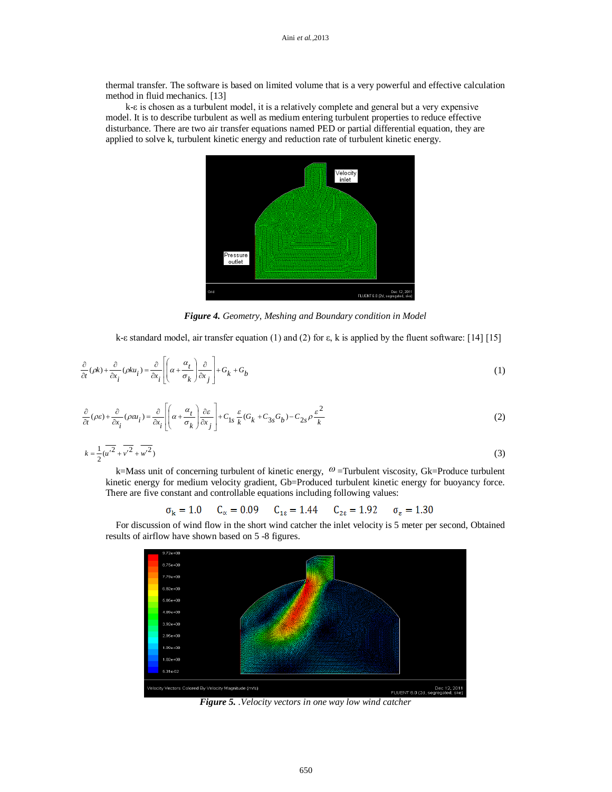thermal transfer. The software is based on limited volume that is a very powerful and effective calculation method in fluid mechanics. [13]

k-ε is chosen as a turbulent model, it is a relatively complete and general but a very expensive model. It is to describe turbulent as well as medium entering turbulent properties to reduce effective disturbance. There are two air transfer equations named PED or partial differential equation, they are applied to solve k, turbulent kinetic energy and reduction rate of turbulent kinetic energy.



*Figure 4. Geometry, Meshing and Boundary condition in Model*

k-ε standard model, air transfer equation (1) and (2) for ε, k is applied by the fluent software: [14] [15]

$$
\frac{\partial}{\partial t}(\rho k) + \frac{\partial}{\partial x_i}(\rho k u_i) = \frac{\partial}{\partial x_i} \left[ \left( \alpha + \frac{\alpha_t}{\sigma_k} \right) \frac{\partial}{\partial x_j} \right] + G_k + G_b \tag{1}
$$

$$
\frac{\partial}{\partial t}(\rho \varepsilon) + \frac{\partial}{\partial x_i}(\rho \varepsilon u_i) = \frac{\partial}{\partial x_i} \left[ \left( \alpha + \frac{\alpha_t}{\sigma_k} \right) \frac{\partial \varepsilon}{\partial x_j} \right] + C_{1s} \frac{\varepsilon}{k} (G_k + C_{3s} G_b) - C_{2s} \rho \frac{\varepsilon^2}{k}
$$
(2)

$$
k = \frac{1}{2}(\overline{u'^2} + \overline{v'^2} + \overline{w'^2})
$$
\n(3)

k=Mass unit of concerning turbulent of kinetic energy,  $\omega$  =Turbulent viscosity, Gk=Produce turbulent kinetic energy for medium velocity gradient, Gb=Produced turbulent kinetic energy for buoyancy force. There are five constant and controllable equations including following values:

$$
\sigma_k = 1.0
$$
  $C_{\alpha} = 0.09$   $C_{1\epsilon} = 1.44$   $C_{2\epsilon} = 1.92$   $\sigma_{\epsilon} = 1.30$ 

For discussion of wind flow in the short wind catcher the inlet velocity is 5 meter per second, Obtained results of airflow have shown based on 5 -8 figures.



*Figure 5. .Velocity vectors in one way low wind catcher*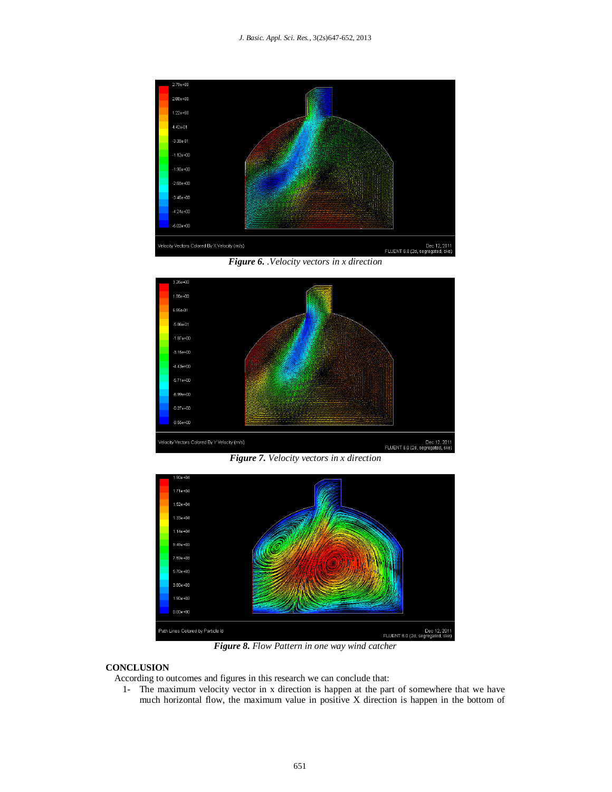

*Figure 6. .Velocity vectors in x direction*



*Figure 7. Velocity vectors in x direction*



*Figure 8. Flow Pattern in one way wind catcher*

# **CONCLUSION**

According to outcomes and figures in this research we can conclude that:

1- The maximum velocity vector in x direction is happen at the part of somewhere that we have much horizontal flow, the maximum value in positive X direction is happen in the bottom of